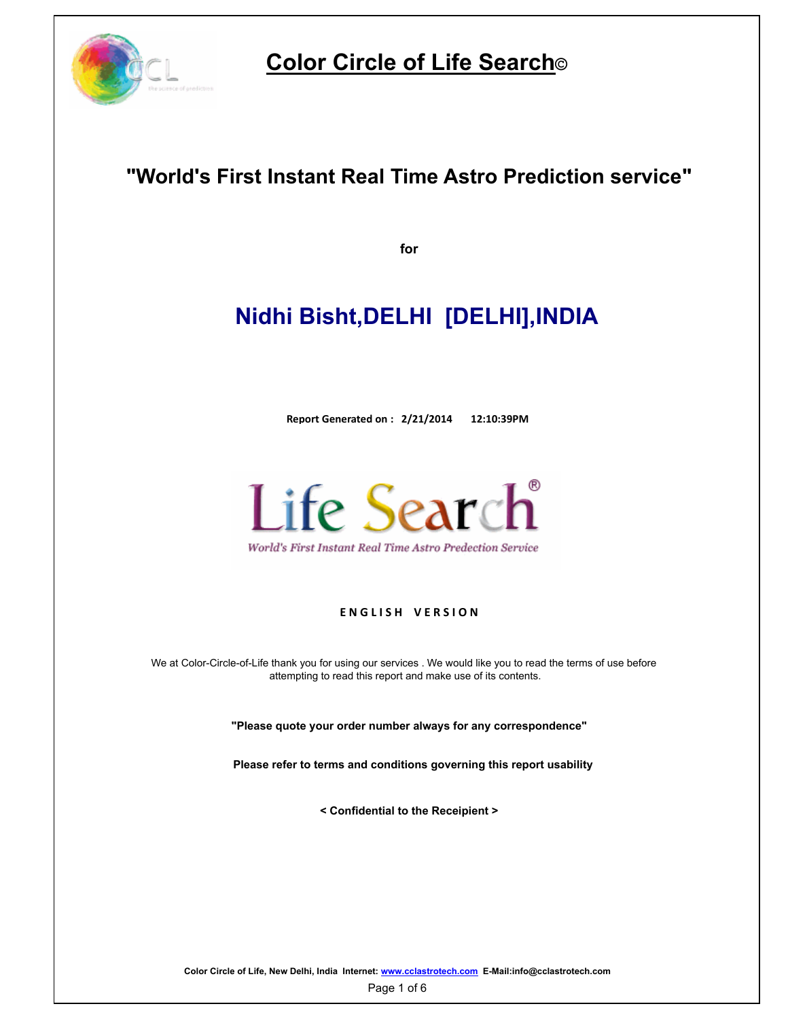

# **Color Circle of Life Search©**

# **"World's First Instant Real Time Astro Prediction service"**

**for**

# **Nidhi Bisht,DELHI [DELHI],INDIA**

**Report Generated on : 2/21/2014 12:10:39PM**



World's First Instant Real Time Astro Predection Service

## **ENGLISH VERSION**

We at Color-Circle-of-Life thank you for using our services . We would like you to read the terms of use before attempting to read this report and make use of its contents.

**"Please quote your order number always for any correspondence"**

**Please refer to terms and conditions governing this report usability**

**< Confidential to the Receipient >**

**Color Circle of Life, New Delhi, India Internet: www.cclastrotech.com E-Mail:info@cclastrotech.com**

Page 1 of 6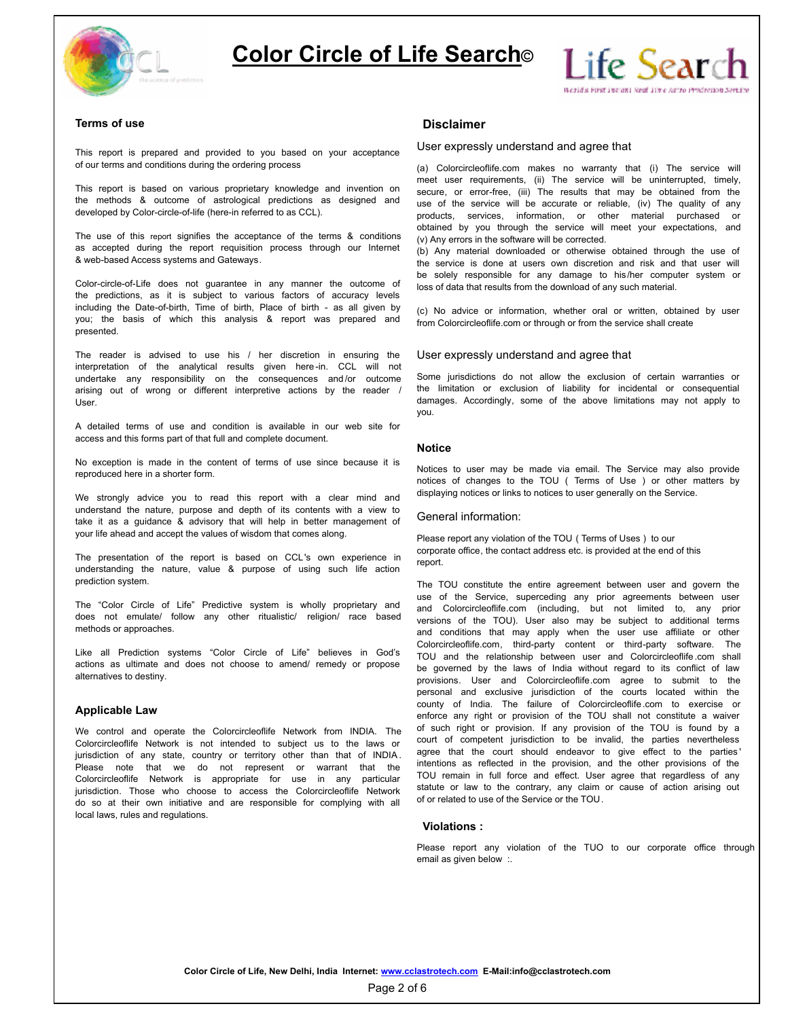



## **Terms of use Disclaimer**

This report is prepared and provided to you based on your acceptance of our terms and conditions during the ordering process

the methods & outcome of astrological predictions as designed and use of the service will be accurate or reliable, (iv) The quality of any developed by Color-circle-of-life (here-in referred to as CCL).

The use of this report signifies the acceptance of the terms & conditions as accepted during the report requisition process through our Internet & web-based Access systems and Gateways.

Color-circle-of-Life does not guarantee in any manner the outcome of the predictions, as it is subject to various factors of accuracy levels including the Date-of-birth, Time of birth, Place of birth - as all given by you; the basis of which this analysis & report was prepared and presented.

The reader is advised to use his / her discretion in ensuring the interpretation of the analytical results given here -in. CCL will not undertake any responsibility on the consequences and /or outcome arising out of wrong or different interpretive actions by the reader / User.

A detailed terms of use and condition is available in our web site for access and this forms part of that full and complete document.

No exception is made in the content of terms of use since because it is reproduced here in a shorter form.

We strongly advice you to read this report with a clear mind and understand the nature, purpose and depth of its contents with a view to take it as a guidance & advisory that will help in better management of your life ahead and accept the values of wisdom that comes along.

The presentation of the report is based on CCL's own experience in understanding the nature, value & purpose of using such life action prediction system.

The "Color Circle of Life" Predictive system is wholly proprietary and does not emulate/ follow any other ritualistic/ religion/ race based methods or approaches.

Like all Prediction systems "Color Circle of Life" believes in God's actions as ultimate and does not choose to amend/ remedy or propose alternatives to destiny.

## **Applicable Law**

We control and operate the Colorcircleoflife Network from INDIA. The <sup>or such right or provision. It any provision of the Colorcircleoflife Network is not intended to subject us to the laws or court of competent jurisdicti</sup> Colorcircleoflife Network is not intended to subject us to the laws or jurisdiction of any state, country or territory other than that of INDIA . Please note that we do not represent or warrant that the Colorcircleoflife Network is appropriate for use in any particular jurisdiction. Those who choose to access the Colorcircleoflife Network statute or law to the contrary, any claim<br>do so at their own initiative and are responsible for complying with all of or related to use of the Service do so at their own initiative and are responsible for complying with all local laws, rules and regulations.

## User expressly understand and agree that

meet user requirements, (ii) The service will be uninterrupted, timely,<br>This report is based on various proprietary knowledge and invention on secure or error-free (iii) The results that may be obtained from the (a) Colorcircleoflife.com makes no warranty that (i) The service will secure, or error-free, (iii) The results that may be obtained from the products, services, information, or other material purchased or obtained by you through the service will meet your expectations, and (v) Any errors in the software will be corrected.

> (b) Any material downloaded or otherwise obtained through the use of the service is done at users own discretion and risk and that user will be solely responsible for any damage to his/her computer system or loss of data that results from the download of any such material.

> (c) No advice or information, whether oral or written, obtained by user from Colorcircleoflife.com or through or from the service shall create

## User expressly understand and agree that

Some jurisdictions do not allow the exclusion of certain warranties or the limitation or exclusion of liability for incidental or consequential damages. Accordingly, some of the above limitations may not apply to you.

## **Notice**

Notices to user may be made via email. The Service may also provide notices of changes to the TOU ( Terms of Use ) or other matters by displaying notices or links to notices to user generally on the Service.

## General information:

Please report any violation of the TOU ( Terms of Uses ) to our corporate office, the contact address etc. is provided at the end of this report.

The TOU constitute the entire agreement between user and govern the use of the Service, superceding any prior agreements between user and Colorcircleoflife.com (including, but not limited to, any prior versions of the TOU). User also may be subject to additional terms and conditions that may apply when the user use affiliate or other Colorcircleoflife.com, third-party content or third-party software. The TOU and the relationship between user and Colorcircleoflife .com shall be governed by the laws of India without regard to its conflict of law provisions. User and Colorcircleoflife.com agree to submit to the personal and exclusive jurisdiction of the courts located within the county of India. The failure of Colorcircleoflife.com to exercise or enforce any right or provision of the TOU shall not constitute a waiver of such right or provision. If any provision of the TOU is found by a court of competent jurisdiction to be invalid, the parties nevertheless agree that the court should endeavor to give effect to the parties ' intentions as reflected in the provision, and the other provisions of the TOU remain in full force and effect. User agree that regardless of any statute or law to the contrary, any claim or cause of action arising out

## **Violations :**

Please report any violation of the TUO to our corporate office through email as given below :.

Page 2 of 6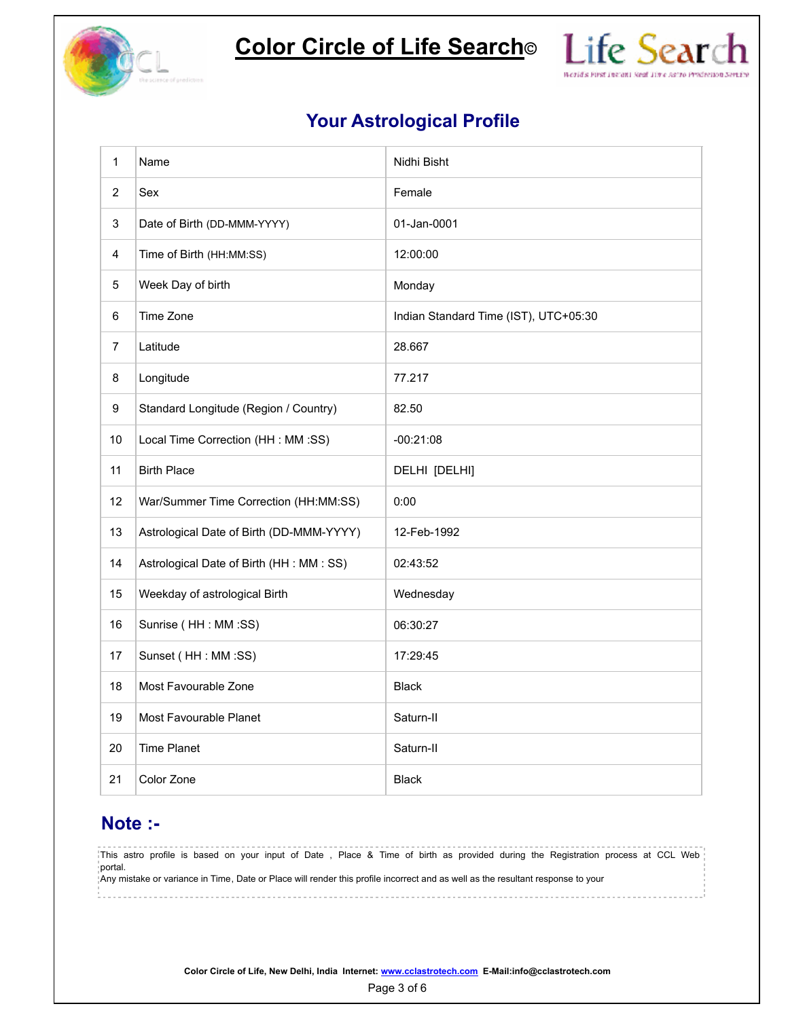

**Color Circle of Life Search©**



## **Your Astrological Profile**

| $\mathbf{1}$            | Name                                      | Nidhi Bisht                           |
|-------------------------|-------------------------------------------|---------------------------------------|
| $\overline{2}$          | Sex                                       | Female                                |
| 3                       | Date of Birth (DD-MMM-YYYY)               | 01-Jan-0001                           |
| $\overline{\mathbf{4}}$ | Time of Birth (HH:MM:SS)                  | 12:00:00                              |
| 5                       | Week Day of birth                         | Monday                                |
| $\,6\,$                 | Time Zone                                 | Indian Standard Time (IST), UTC+05:30 |
| $\overline{7}$          | Latitude                                  | 28.667                                |
| 8                       | Longitude                                 | 77.217                                |
| 9                       | Standard Longitude (Region / Country)     | 82.50                                 |
| 10                      | Local Time Correction (HH : MM :SS)       | $-00:21:08$                           |
| 11                      | <b>Birth Place</b>                        | DELHI [DELHI]                         |
| 12                      | War/Summer Time Correction (HH:MM:SS)     | 0:00                                  |
| 13                      | Astrological Date of Birth (DD-MMM-YYYY)  | 12-Feb-1992                           |
| 14                      | Astrological Date of Birth (HH : MM : SS) | 02:43:52                              |
| 15                      | Weekday of astrological Birth             | Wednesday                             |
| 16                      | Sunrise (HH : MM :SS)                     | 06:30:27                              |
| 17                      | Sunset (HH : MM :SS)                      | 17:29:45                              |
| 18                      | Most Favourable Zone                      | <b>Black</b>                          |
| 19                      | Most Favourable Planet                    | Saturn-II                             |
| 20                      | <b>Time Planet</b>                        | Saturn-II                             |
| 21                      | Color Zone                                | <b>Black</b>                          |

## **Note :-**

This astro profile is based on your input of Date , Place & Time of birth as provided during the Registration process at CCL Web portal. Any mistake or variance in Time, Date or Place will render this profile incorrect and as well as the resultant response to your

**Color Circle of Life, New Delhi, India Internet: www.cclastrotech.com E-Mail:info@cclastrotech.com**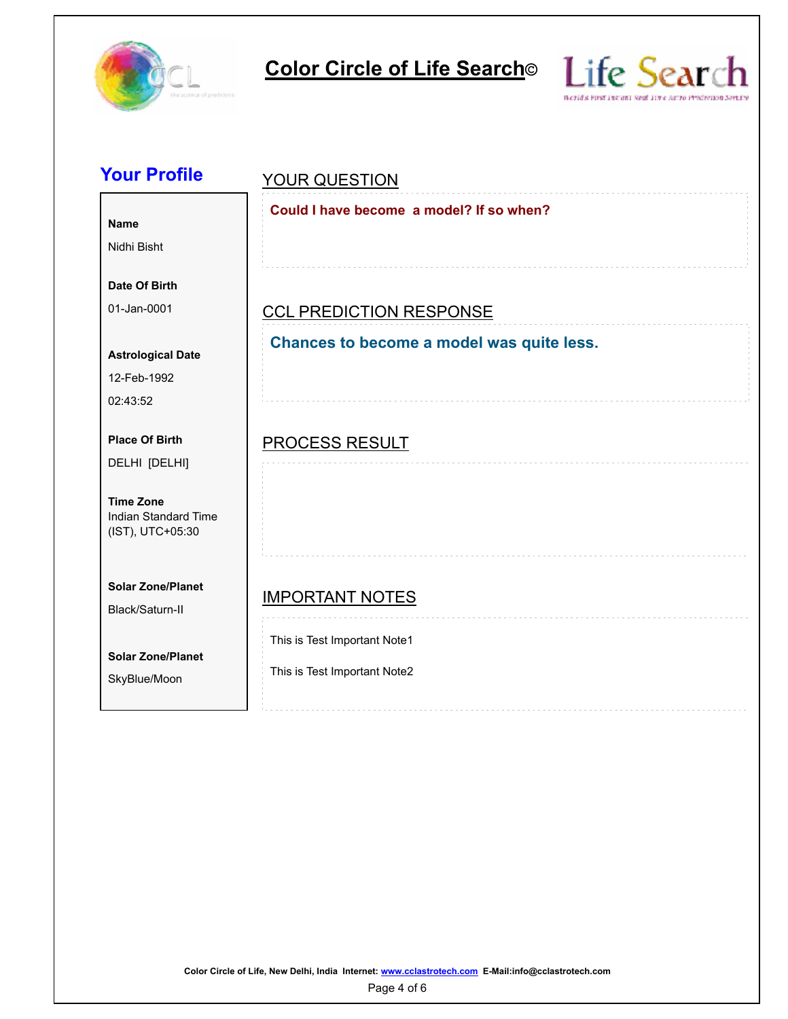



| <b>Your Profile</b>                                                 | <b>YOUR QUESTION</b>                                         |  |  |  |  |
|---------------------------------------------------------------------|--------------------------------------------------------------|--|--|--|--|
| <b>Name</b><br>Nidhi Bisht                                          | Could I have become a model? If so when?                     |  |  |  |  |
| Date Of Birth<br>01-Jan-0001                                        |                                                              |  |  |  |  |
|                                                                     | <b>CCL PREDICTION RESPONSE</b>                               |  |  |  |  |
| <b>Astrological Date</b><br>12-Feb-1992<br>02:43:52                 | Chances to become a model was quite less.                    |  |  |  |  |
| <b>Place Of Birth</b><br>DELHI [DELHI]                              | <b>PROCESS RESULT</b>                                        |  |  |  |  |
| <b>Time Zone</b><br><b>Indian Standard Time</b><br>(IST), UTC+05:30 |                                                              |  |  |  |  |
| <b>Solar Zone/Planet</b><br>Black/Saturn-II                         | <b>IMPORTANT NOTES</b>                                       |  |  |  |  |
| <b>Solar Zone/Planet</b><br>SkyBlue/Moon                            | This is Test Important Note1<br>This is Test Important Note2 |  |  |  |  |

**Color Circle of Life, New Delhi, India Internet: www.cclastrotech.com E-Mail:info@cclastrotech.com**

Page 4 of 6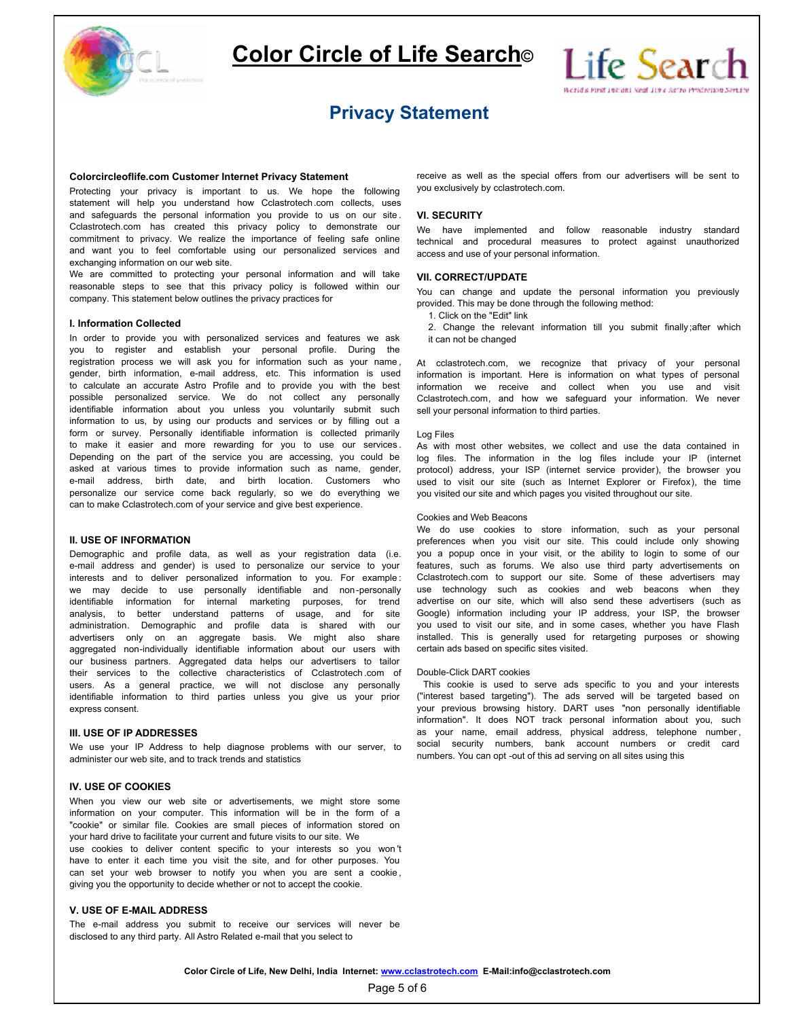



## **Privacy Statement**

## **Colorcircleoflife.com Customer Internet Privacy Statement**

Protecting your privacy is important to us. We hope the following statement will help you understand how Cclastrotech.com collects, uses and safeguards the personal information you provide to us on our site . Cclastrotech.com has created this privacy policy to demonstrate our commitment to privacy. We realize the importance of feeling safe online and want you to feel comfortable using our personalized services and exchanging information on our web site.

We are committed to protecting your personal information and will take reasonable steps to see that this privacy policy is followed within our company. This statement below outlines the privacy practices for

### **I. Information Collected**

In order to provide you with personalized services and features we ask you to register and establish your personal profile. During the registration process we will ask you for information such as your name, gender, birth information, e-mail address, etc. This information is used to calculate an accurate Astro Profile and to provide you with the best possible personalized service. We do not collect any personally identifiable information about you unless you voluntarily submit such information to us, by using our products and services or by filling out a form or survey. Personally identifiable information is collected primarily to make it easier and more rewarding for you to use our services . Depending on the part of the service you are accessing, you could be asked at various times to provide information such as name, gender, e-mail address, birth date, and birth location. Customers who personalize our service come back regularly, so we do everything we can to make Cclastrotech.com of your service and give best experience.

## **II. USE OF INFORMATION**

Demographic and profile data, as well as your registration data (i.e. e-mail address and gender) is used to personalize our service to your interests and to deliver personalized information to you. For example: Cclastrotech.com to support our site. Some of these advertisers may we may decide to use personally identifiable and non-personally use technology such identifiable information for internal marketing purposes, for trend analysis, to better understand patterns of usage, and for site administration. Demographic and profile data is shared with our advertisers only on an aggregate basis. We might also share aggregated non-individually identifiable information about our users with our business partners. Aggregated data helps our advertisers to tailor their services to the collective characteristics of Cclastrotech .com of users. As a general practice, we will not disclose any personally identifiable information to third parties unless you give us your prior express consent.

### **III. USE OF IP ADDRESSES**

We use your IP Address to help diagnose problems with our server, to administer our web site, and to track trends and statistics

### **IV. USE OF COOKIES**

When you view our web site or advertisements, we might store some information on your computer. This information will be in the form of a "cookie" or similar file. Cookies are small pieces of information stored on your hard drive to facilitate your current and future visits to our site. We

use cookies to deliver content specific to your interests so you won 't have to enter it each time you visit the site, and for other purposes. You can set your web browser to notify you when you are sent a cookie, giving you the opportunity to decide whether or not to accept the cookie.

## **V. USE OF E-MAIL ADDRESS**

The e-mail address you submit to receive our services will never be disclosed to any third party. All Astro Related e-mail that you select to

receive as well as the special offers from our advertisers will be sent to you exclusively by cclastrotech.com.

### **VI. SECURITY**

We have implemented and follow reasonable industry standard technical and procedural measures to protect against unauthorized access and use of your personal information.

### **VII. CORRECT/UPDATE**

You can change and update the personal information you previously provided. This may be done through the following method:

1. Click on the "Edit" link

2. Change the relevant information till you submit finally ;after which it can not be changed

At cclastrotech.com, we recognize that privacy of your personal information is important. Here is information on what types of personal information we receive and collect when you use and visit Cclastrotech.com, and how we safeguard your information. We never sell your personal information to third parties.

## Log Files

As with most other websites, we collect and use the data contained in log files. The information in the log files include your IP (internet protocol) address, your ISP (internet service provider), the browser you used to visit our site (such as Internet Explorer or Firefox), the time you visited our site and which pages you visited throughout our site.

## Cookies and Web Beacons

We do use cookies to store information, such as your personal preferences when you visit our site. This could include only showing you a popup once in your visit, or the ability to login to some of our features, such as forums. We also use third party advertisements on use technology such as cookies and web beacons when they Google) information including your IP address, your ISP, the browser you used to visit our site, and in some cases, whether you have Flash installed. This is generally used for retargeting purposes or showing certain ads based on specific sites visited.

## Double-Click DART cookies

 This cookie is used to serve ads specific to you and your interests ("interest based targeting"). The ads served will be targeted based on your previous browsing history. DART uses "non personally identifiable information". It does NOT track personal information about you, such as your name, email address, physical address, telephone number, social security numbers, bank account numbers or credit card numbers. You can opt -out of this ad serving on all sites using this